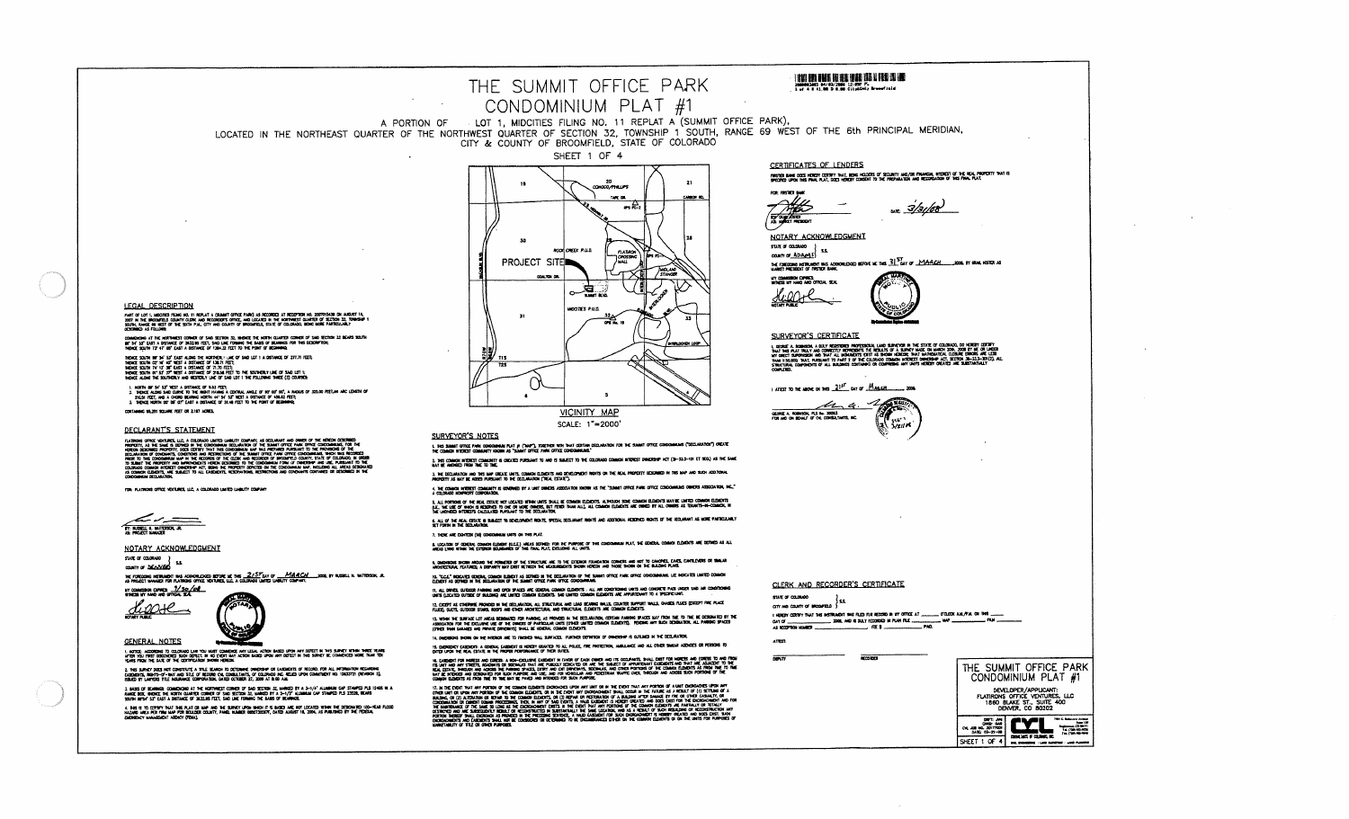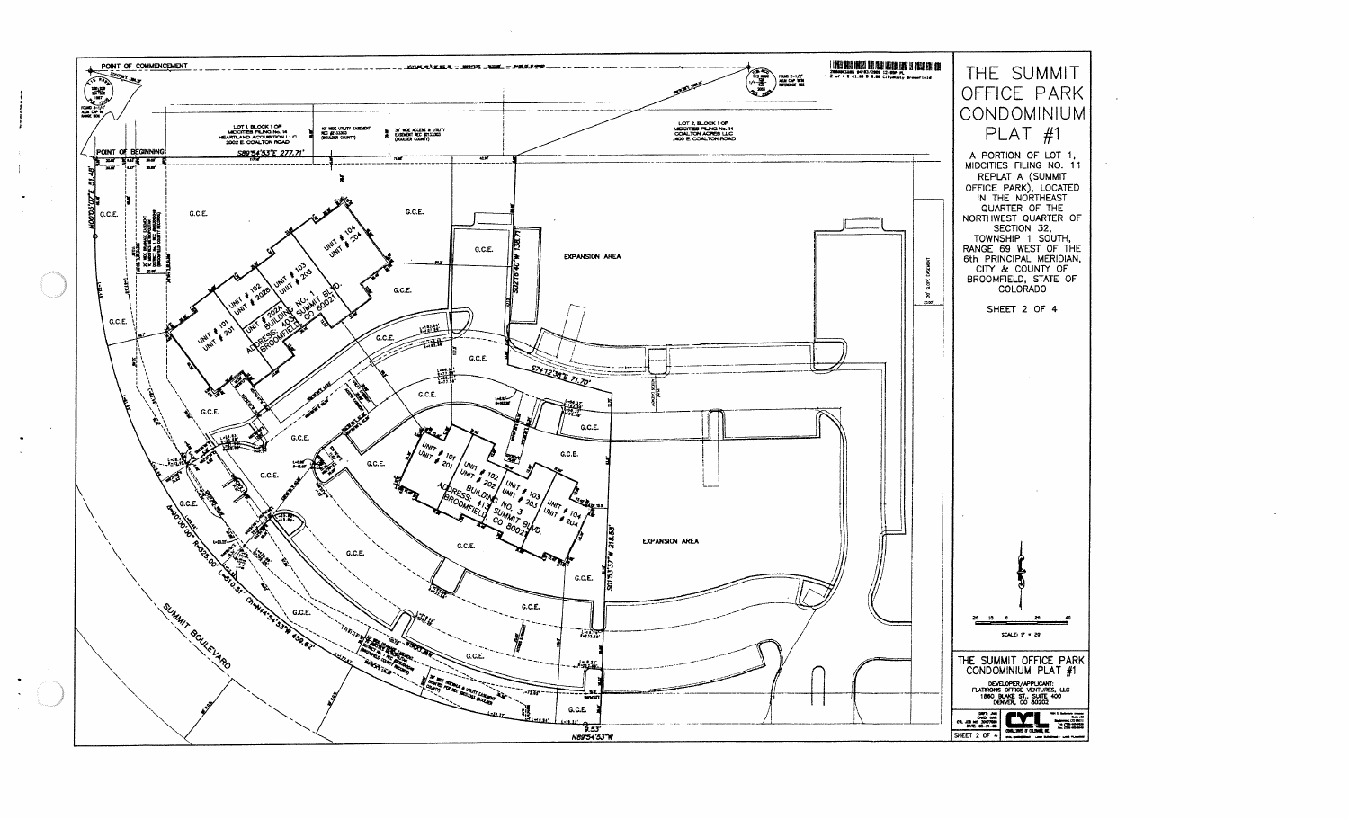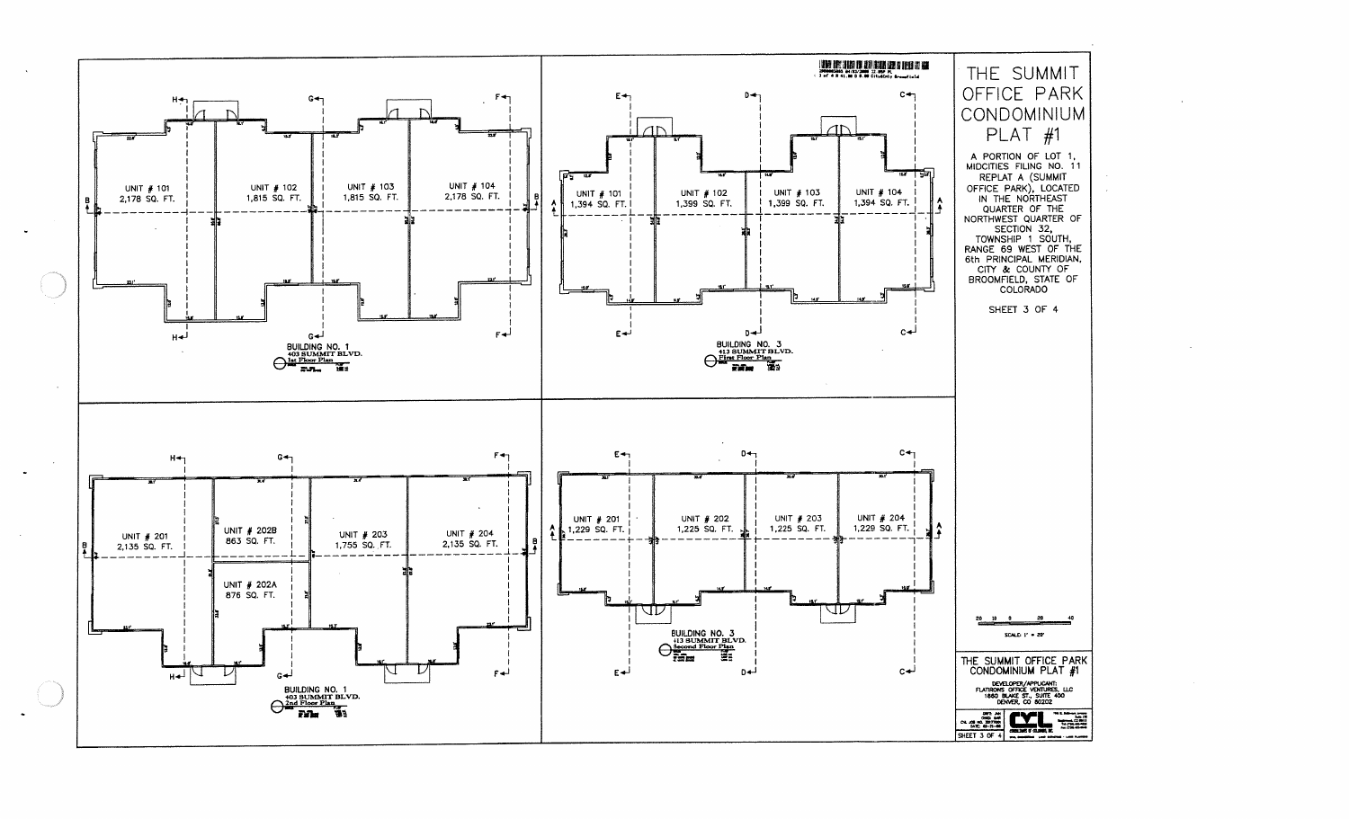

 $\sim$